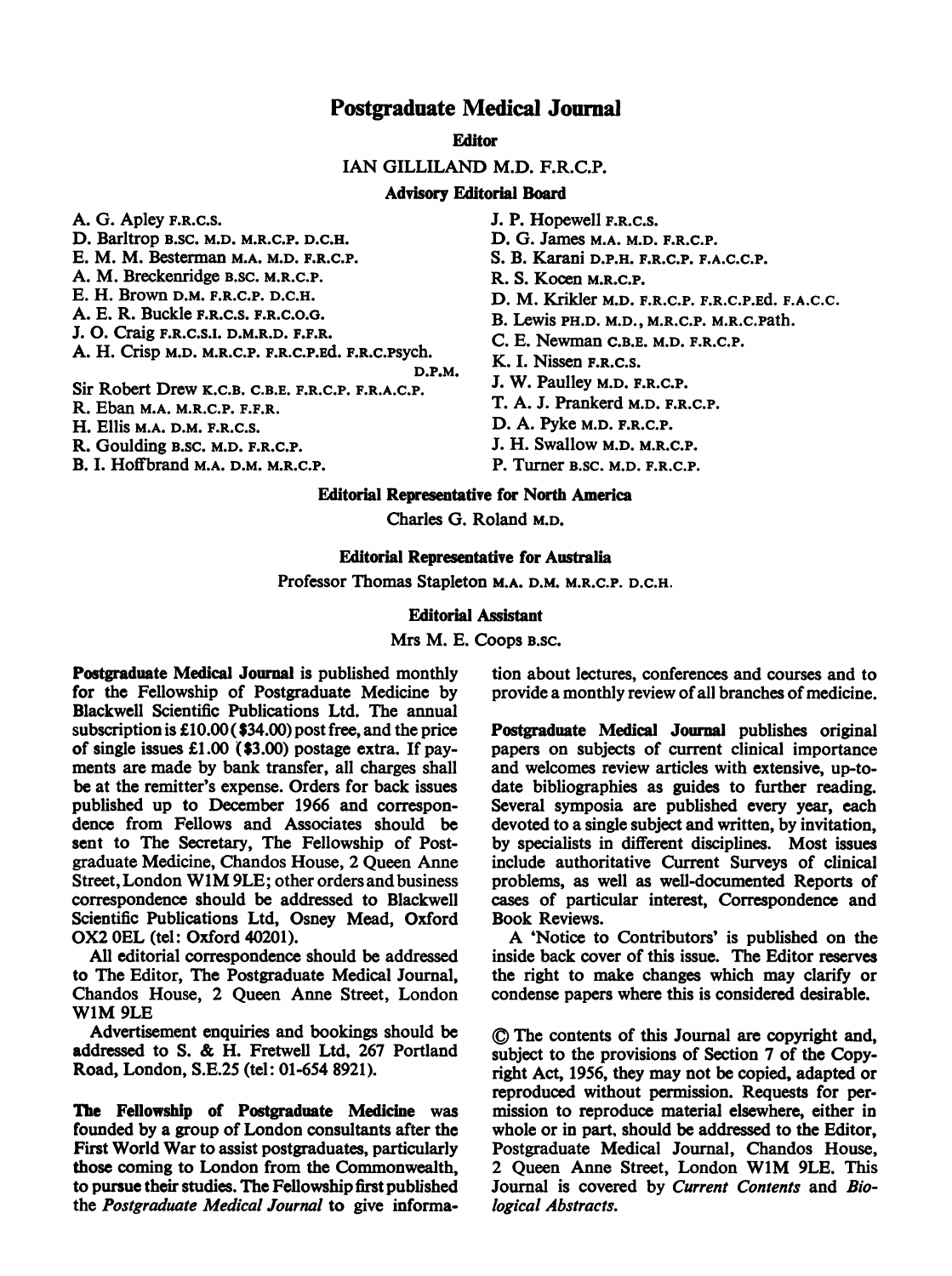# Postgraduate Medical Journal

**Editor** 

IAN GILLILAND M.D. F.R.C.P.

## Advisory Editorial Board

A. G. Apley F.R.C.S.

D. Barltrop B.SC. M.D. M.R.C.P. D.C.H.

E. M. M. Besterman M.A. M.D. F.R.C.P.

A. M. Breckenridge B.SC. M.R.C.P.

E. H. Brown D.M. F.R.C.P. D.C.H.

A. E. R. Buckle F.R.C.S. F.R.C.O.G. J. 0. Craig F.R.C.S.I. D.M.R.D. F.F.R.

A. H. Crisp M.D. M.R.C.P. F.R.C.P.Ed. F.R.C.PSych. D.P.M.

Sir Robert Drew K.C.B. C.B.E. F.R.C.P. F.R.A.C.P.

R. Eban M.A. M.R.C.P. F.F.R.

H. Ellis M.A. D.M. F.R.C.S.

R. Goulding B.SC. M.D. F.R.C.P.

B. I. Hoffbrand M.A. D.M. M.R.C.P.

J. P. Hopewell F.R.C.S. D. G. James M.A. M.D. F.R.C.P. S. B. Karani D.P.H. F.R.C.P. F.A.C.C.P. R. S. Kocen M.R.C.P. D. M. Krikler M.D. F.R.C.P. F.R.C.P.Ed. F.A.C.C. B. Lewis PH.D. M.D., M.R.C.P. M.R.C.Path. C. E. Newman C.B.E. M.D. F.R.C.P. K. I. Nissen F.R.C.S. J. W. Paulley M.D. F.R.C.P. T. A. J. Prankerd M.D. F.R.C.P. D. A. Pyke M.D. F.R.C.P. J. H. Swallow M.D. M.R.C.P.

P. Turner B.SC. M.D. F.R.C.P.

## Editorial Representative for North America

Charles G. Roland M.D.

## Editorial Representative for Australia

Professor Thomas Stapleton M.A. D.M. M.R.C.P. D.C.H.

## Editorial Assistant

Mrs M. E. Coops B.SC.

Postgraduate Medical Journal is published monthly for the Fellowship of Postgraduate Medicine by Blackwell Scientific Publications Ltd. The annual subscription is £10.00 (\$34.00) post free, and the price of single issues £1.00 (\$3.00) postage extra. If payments are made by bank transfer, all charges shall be at the remitter's expense. Orders for back issues published up to December 1966 and correspondence from Fellows and Associates should be sent to The Secretary, The Fellowship of Postgraduate Medicine, Chandos House, 2 Queen Anne Street, London W1M 9LE; other orders and business correspondence should be addressed to Blackwell Scientific Publications Ltd, Osney Mead, Oxford OX2 OEL (tel: Oxford 40201).

All editorial correspondence should be addressed to The Editor, The Postgraduate Medical Journal, Chandos House, 2 Queen Anne Street, London WlM 9LE

Advertisement enquiries and bookings should be addressed to S. & H. Fretwell Ltd, <sup>267</sup> Portland Road, London, S.E.25 (tel: 01-654 8921).

Ibe Fellowship of Postgraduate Medicine was founded by a group of London consultants after the First World War to assist postgraduates, particularly those coming to London from the Commonwealth, to pursue their studies. The Fellowship first published the Postgraduate Medical Journal to give information about lectures, conferences and courses and to provide a monthly review of all branches of medicine.

Postgraduate Medical Journal publishes original papers on subjects of current clinical importance and welcomes review articles with extensive, up-todate bibliographies as guides to further reading. Several symposia are published every year, each devoted to a single subject and written, by invitation, by specialists in different disciplines. Most issues include authoritative Current Surveys of clinical problems, as well as well-documented Reports of cases of particular interest, Correspondence and Book Reviews.

A 'Notice to Contributors' is published on the inside back cover of this issue. The Editor reserves the right to make changes which may clarify or condense papers where this is considered desirable.

© The contents of this Journal are copyright and, subject to the provisions of Section 7 of the Copyright Act, 1956, they may not be copied, adapted or reproduced without permission. Requests for permission to reproduce material elsewhere, either in whole or in part, should be addressed to the Editor, Postgraduate Medical Journal, Chandos House, <sup>2</sup> Queen Anne Street, London WIM 9LE. This Journal is covered by Current Contents and Biological Abstracts.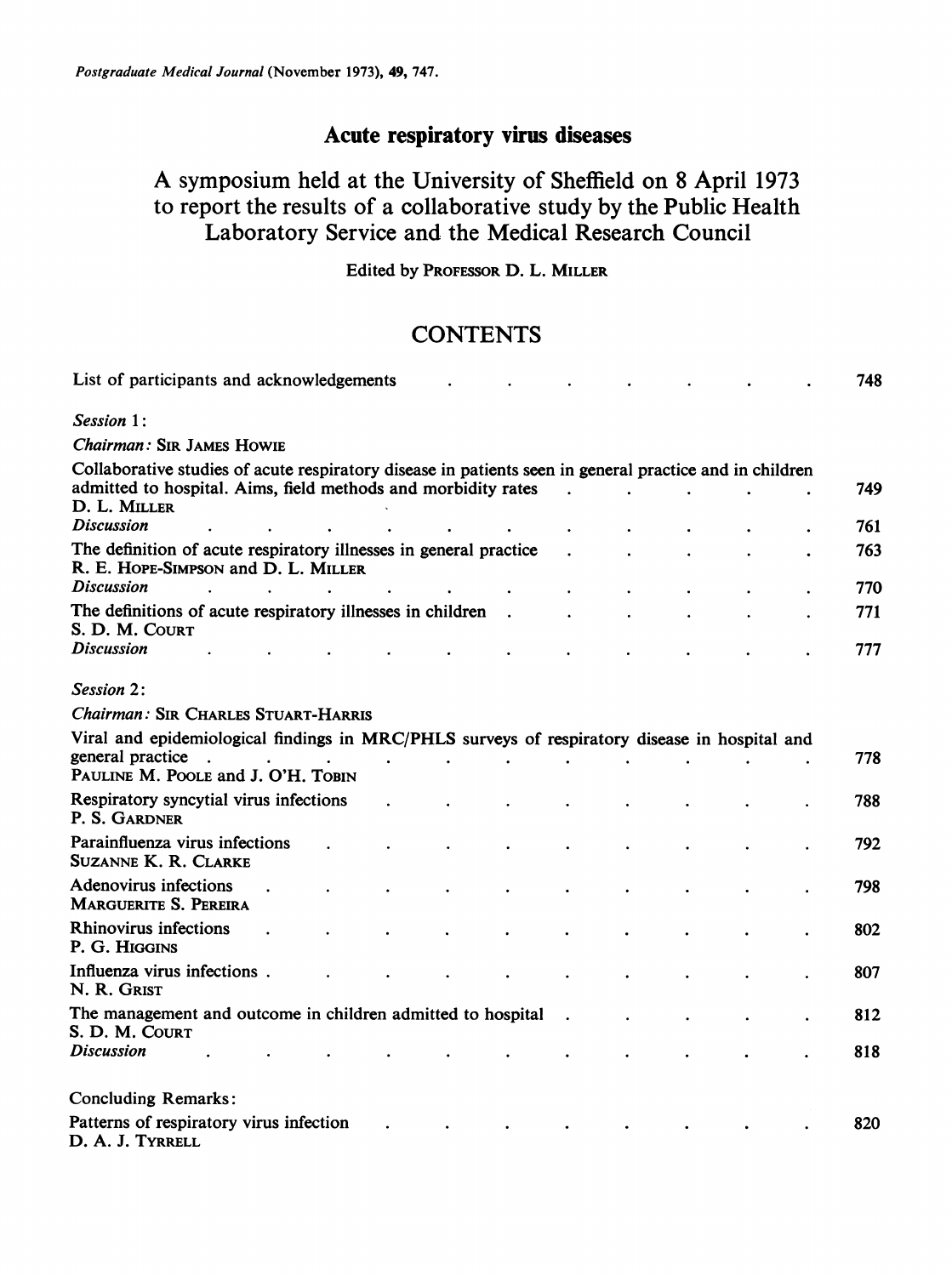# Acute respiratory virus diseases

# A symposium held at the University of Sheffield on <sup>8</sup> April <sup>1973</sup> to report the results of a collaborative study by the Public Health Laboratory Service and the Medical Research Council

Edited by PROFESSOR D. L. MILLER

# **CONTENTS**

| List of participants and acknowledgements                                                                                                                                                |           |           |                |  |  | 748        |
|------------------------------------------------------------------------------------------------------------------------------------------------------------------------------------------|-----------|-----------|----------------|--|--|------------|
| Session 1:                                                                                                                                                                               |           |           |                |  |  |            |
| Chairman: SIR JAMES HOWIE                                                                                                                                                                |           |           |                |  |  |            |
| Collaborative studies of acute respiratory disease in patients seen in general practice and in children<br>admitted to hospital. Aims, field methods and morbidity rates<br>D. L. MILLER |           |           | $\overline{a}$ |  |  | 749        |
| <b>Discussion</b>                                                                                                                                                                        |           |           |                |  |  | 761        |
| The definition of acute respiratory illnesses in general practice<br>R. E. HOPE-SIMPSON and D. L. MILLER                                                                                 |           |           |                |  |  | 763        |
| <b>Discussion</b>                                                                                                                                                                        |           |           |                |  |  | 770        |
| The definitions of acute respiratory illnesses in children<br>S. D. M. COURT                                                                                                             |           | $\bullet$ |                |  |  | 771        |
| <b>Discussion</b>                                                                                                                                                                        |           |           |                |  |  | 777        |
| Session 2:                                                                                                                                                                               |           |           |                |  |  |            |
| Chairman: SIR CHARLES STUART-HARRIS                                                                                                                                                      |           |           |                |  |  |            |
| Viral and epidemiological findings in MRC/PHLS surveys of respiratory disease in hospital and<br>general practice                                                                        | $\bullet$ |           |                |  |  | 778        |
| PAULINE M. POOLE and J. O'H. TOBIN                                                                                                                                                       |           |           |                |  |  |            |
| Respiratory syncytial virus infections<br>P. S. GARDNER                                                                                                                                  |           |           |                |  |  | 788        |
| Parainfluenza virus infections<br><b>SUZANNE K. R. CLARKE</b>                                                                                                                            |           |           |                |  |  | 792        |
| Adenovirus infections<br><b>MARGUERITE S. PEREIRA</b>                                                                                                                                    |           |           |                |  |  | 798        |
| <b>Rhinovirus infections</b><br>P. G. HIGGINS                                                                                                                                            |           |           |                |  |  | 802        |
| Influenza virus infections.<br>N. R. GRIST                                                                                                                                               |           |           |                |  |  | 807        |
| The management and outcome in children admitted to hospital<br>S. D. M. COURT<br><b>Discussion</b>                                                                                       |           |           |                |  |  | 812<br>818 |
|                                                                                                                                                                                          |           |           |                |  |  |            |
| <b>Concluding Remarks:</b>                                                                                                                                                               |           |           |                |  |  |            |
| Patterns of respiratory virus infection<br>D. A. J. TYRRELL                                                                                                                              |           |           |                |  |  | 820        |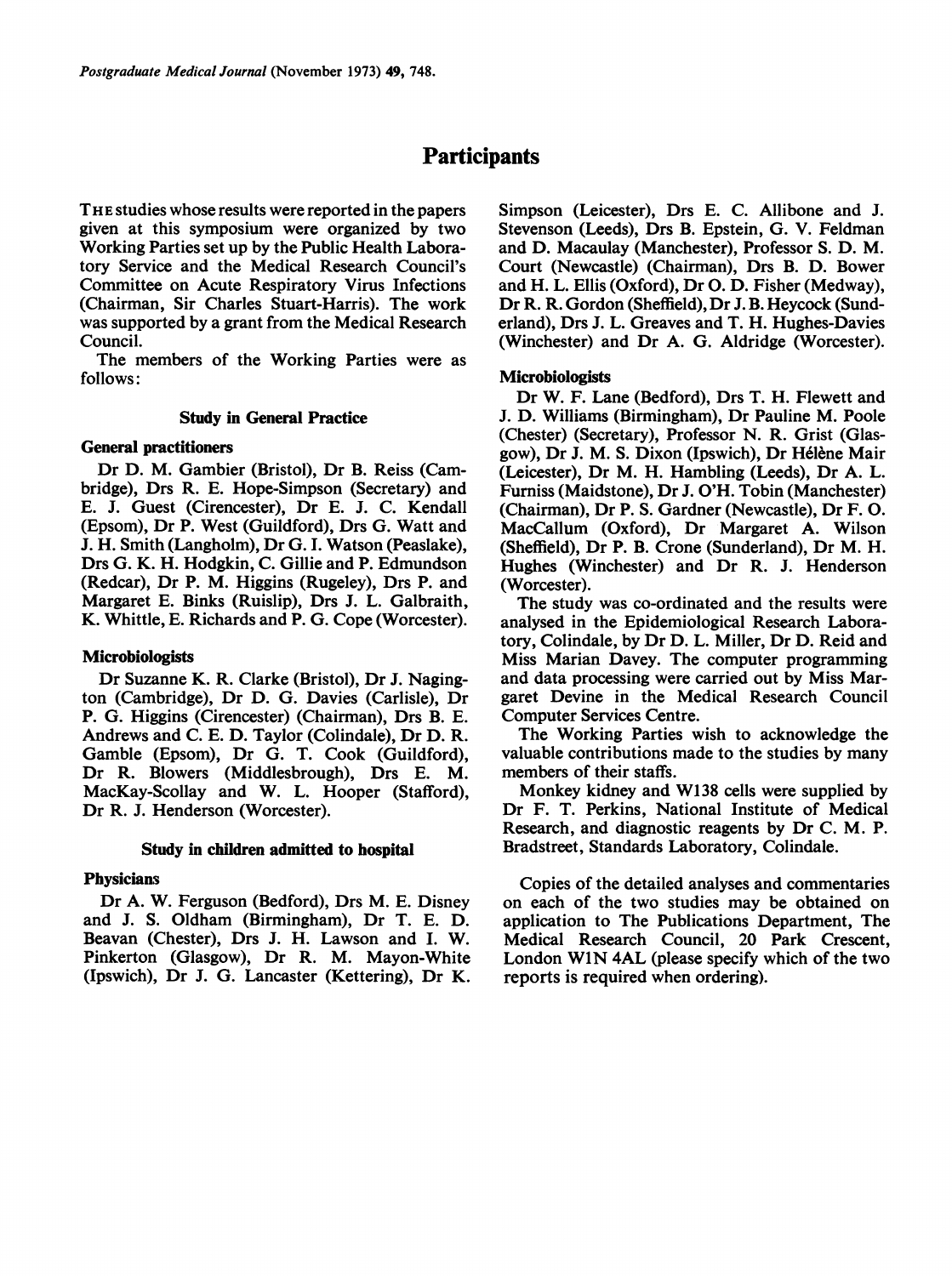# **Participants**

THE studies whose results were reported in the papers given at this symposium were organized by two Working Parties set up by the Public Health Laboratory Service and the Medical Research Council's Committee on Acute Respiratory Virus Infections (Chairman, Sir Charles Stuart-Harris). The work was supported by a grant from the Medical Research Council.

The members of the Working Parties were as follows:

### Study in General Practice

## General practitioners

Dr D. M. Gambier (Bristol), Dr B. Reiss (Cambridge), Drs R. E. Hope-Simpson (Secretary) and E. J. Guest (Cirencester), Dr E. J. C. Kendall (Epsom), Dr P. West (Guildford), Drs G. Watt and J. H. Smith (Langholm), Dr G. I. Watson (Peaslake), Drs G. K. H. Hodgkin, C. Gillie and P. Edmundson (Redcar), Dr P. M. Higgins (Rugeley), Drs P. and Margaret E. Binks (Ruislip), Drs J. L. Galbraith, K. Whittle, E. Richards and P. G. Cope (Worcester).

### Microbiologists

Dr Suzanne K. R. Clarke (Bristol), Dr J. Nagington (Cambridge), Dr D. G. Davies (Carlisle), Dr P. G. Higgins (Cirencester) (Chairman), Drs B. E. Andrews and C. E. D. Taylor (Colindale), Dr D. R. Gamble (Epsom), Dr G. T. Cook (Guildford), Dr R. Blowers (Middlesbrough), Drs E. M. MacKay-Scollay and W. L. Hooper (Stafford), Dr R. J. Henderson (Worcester).

### Study in children admitted to hospital

### **Physicians**

Dr A. W. Ferguson (Bedford), Drs M. E. Disney and J. S. Oldham (Birmingham), Dr T. E. D. Beavan (Chester), Drs J. H. Lawson and I. W. Pinkerton (Glasgow), Dr R. M. Mayon-White (Ipswich), Dr J. G. Lancaster (Kettering), Dr K.

Simpson (Leicester), Drs E. C. Allibone and J. Stevenson (Leeds), Drs B. Epstein, G. V. Feldman and D. Macaulay (Manchester), Professor S. D. M. Court (Newcastle) (Chairman), Drs B. D. Bower and H. L. Ellis (Oxford), Dr 0. D. Fisher (Medway), Dr R. R. Gordon (Sheffield), Dr J. B. Heycock (Sunderland), Drs J. L. Greaves and T. H. Hughes-Davies (Winchester) and Dr A. G. Aldridge (Worcester).

### **Microbiologists**

Dr W. F. Lane (Bedford), Drs T. H. Flewett and J. D. Williams (Birmingham), Dr Pauline M. Poole (Chester) (Secretary), Professor N. R. Grist (Glasgow), Dr J. M. S. Dixon (Ipswich), Dr Helene Mair (Leicester), Dr M. H. Hambling (Leeds), Dr A. L. Furniss (Maidstone), Dr J. O'H. Tobin (Manchester) (Chairman), Dr P. S. Gardner (Newcastle), Dr F. 0. MacCallum (Oxford), Dr Margaret A. Wilson (Sheffield), Dr P. B. Crone (Sunderland), Dr M. H. Hughes (Winchester) and Dr R. J. Henderson (Worcester).

The study was co-ordinated and the results were analysed in the Epidemiological Research Laboratory, Colindale, by Dr D. L. Miller, Dr D. Reid and Miss Marian Davey. The computer programming and data processing were carried out by Miss Margaret Devine in the Medical Research Council Computer Services Centre.

The Working Parties wish to acknowledge the valuable contributions made to the studies by many members of their staffs.

Monkey kidney and W138 cells were supplied by Dr F. T. Perkins, National Institute of Medical Research, and diagnostic reagents by Dr C. M. P. Bradstreet, Standards Laboratory, Colindale.

Copies of the detailed analyses and commentaries on each of the two studies may be obtained on application to The Publications Department, The Medical Research Council, 20 Park Crescent, London WIN 4AL (please specify which of the two reports is required when ordering).